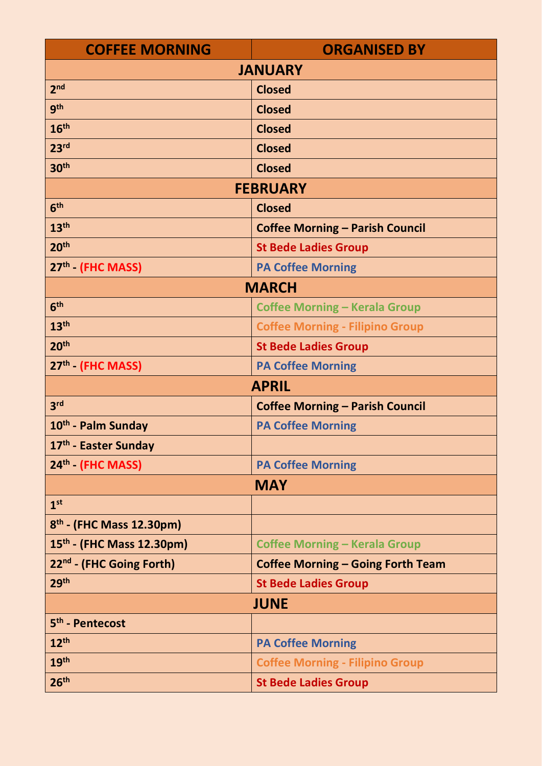| <b>COFFEE MORNING</b>                 | <b>ORGANISED BY</b>                      |
|---------------------------------------|------------------------------------------|
| <b>JANUARY</b>                        |                                          |
| 2 <sub>nd</sub>                       | <b>Closed</b>                            |
| <b>gth</b>                            | <b>Closed</b>                            |
| 16 <sup>th</sup>                      | <b>Closed</b>                            |
| 23 <sup>rd</sup>                      | <b>Closed</b>                            |
| 30 <sup>th</sup>                      | <b>Closed</b>                            |
| <b>FEBRUARY</b>                       |                                          |
| 6 <sup>th</sup>                       | <b>Closed</b>                            |
| 13 <sup>th</sup>                      | <b>Coffee Morning - Parish Council</b>   |
| 20 <sup>th</sup>                      | <b>St Bede Ladies Group</b>              |
| 27th (FHC MASS)                       | <b>PA Coffee Morning</b>                 |
| <b>MARCH</b>                          |                                          |
| 6 <sup>th</sup>                       | <b>Coffee Morning - Kerala Group</b>     |
| 13 <sup>th</sup>                      | <b>Coffee Morning - Filipino Group</b>   |
| 20 <sup>th</sup>                      | <b>St Bede Ladies Group</b>              |
| 27 <sup>th</sup> (FHC MASS)           | <b>PA Coffee Morning</b>                 |
| <b>APRIL</b>                          |                                          |
| 3 <sup>rd</sup>                       | <b>Coffee Morning - Parish Council</b>   |
| 10 <sup>th</sup> - Palm Sunday        | <b>PA Coffee Morning</b>                 |
| 17 <sup>th</sup> - Easter Sunday      |                                          |
| 24th (FHC MASS)                       | <b>PA Coffee Morning</b>                 |
| <b>MAY</b>                            |                                          |
| 1 <sup>st</sup>                       |                                          |
| $8th$ - (FHC Mass 12.30pm)            |                                          |
| 15 <sup>th</sup> - (FHC Mass 12.30pm) | <b>Coffee Morning - Kerala Group</b>     |
| 22nd - (FHC Going Forth)              | <b>Coffee Morning - Going Forth Team</b> |
| 29 <sup>th</sup>                      | <b>St Bede Ladies Group</b>              |
| <b>JUNE</b>                           |                                          |
| 5 <sup>th</sup> - Pentecost           |                                          |
| 12 <sup>th</sup>                      | <b>PA Coffee Morning</b>                 |
| 19 <sup>th</sup>                      | <b>Coffee Morning - Filipino Group</b>   |
| 26 <sup>th</sup>                      | <b>St Bede Ladies Group</b>              |